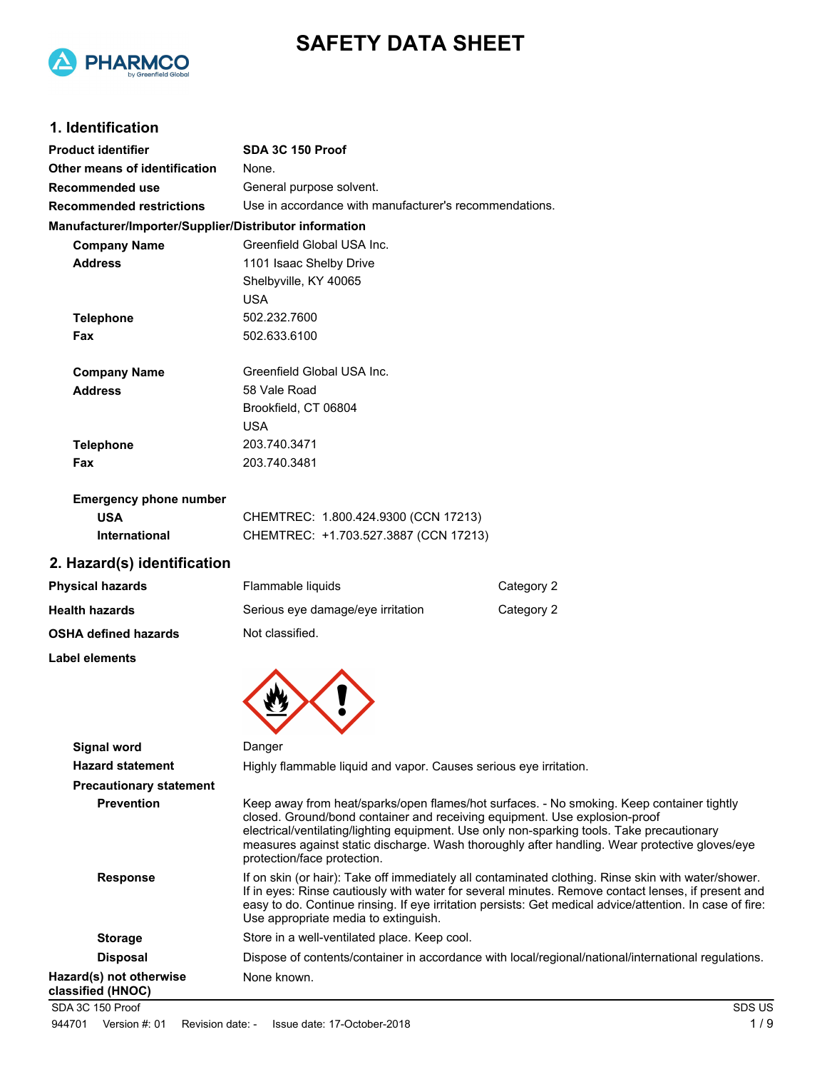

# **SAFETY DATA SHEET**

### **1. Identification**

| <b>Product identifier</b>                              | SDA 3C 150 Proof                                                                                                                                                                                                                                                                                       |            |
|--------------------------------------------------------|--------------------------------------------------------------------------------------------------------------------------------------------------------------------------------------------------------------------------------------------------------------------------------------------------------|------------|
| Other means of identification                          | None.                                                                                                                                                                                                                                                                                                  |            |
| <b>Recommended use</b>                                 | General purpose solvent.                                                                                                                                                                                                                                                                               |            |
| <b>Recommended restrictions</b>                        | Use in accordance with manufacturer's recommendations.                                                                                                                                                                                                                                                 |            |
| Manufacturer/Importer/Supplier/Distributor information |                                                                                                                                                                                                                                                                                                        |            |
| <b>Company Name</b>                                    | Greenfield Global USA Inc.                                                                                                                                                                                                                                                                             |            |
| <b>Address</b>                                         | 1101 Isaac Shelby Drive                                                                                                                                                                                                                                                                                |            |
|                                                        | Shelbyville, KY 40065                                                                                                                                                                                                                                                                                  |            |
|                                                        | <b>USA</b>                                                                                                                                                                                                                                                                                             |            |
| <b>Telephone</b>                                       | 502.232.7600                                                                                                                                                                                                                                                                                           |            |
| Fax                                                    | 502.633.6100                                                                                                                                                                                                                                                                                           |            |
| <b>Company Name</b>                                    | Greenfield Global USA Inc.                                                                                                                                                                                                                                                                             |            |
| <b>Address</b>                                         | 58 Vale Road                                                                                                                                                                                                                                                                                           |            |
|                                                        | Brookfield, CT 06804                                                                                                                                                                                                                                                                                   |            |
|                                                        | <b>USA</b>                                                                                                                                                                                                                                                                                             |            |
| <b>Telephone</b>                                       | 203.740.3471                                                                                                                                                                                                                                                                                           |            |
| Fax                                                    | 203.740.3481                                                                                                                                                                                                                                                                                           |            |
| <b>Emergency phone number</b>                          |                                                                                                                                                                                                                                                                                                        |            |
| <b>USA</b>                                             | CHEMTREC: 1.800.424.9300 (CCN 17213)                                                                                                                                                                                                                                                                   |            |
| International                                          | CHEMTREC: +1.703.527.3887 (CCN 17213)                                                                                                                                                                                                                                                                  |            |
| 2. Hazard(s) identification                            |                                                                                                                                                                                                                                                                                                        |            |
| <b>Physical hazards</b>                                | Flammable liquids                                                                                                                                                                                                                                                                                      | Category 2 |
| <b>Health hazards</b>                                  | Serious eye damage/eye irritation                                                                                                                                                                                                                                                                      | Category 2 |
| <b>OSHA defined hazards</b>                            | Not classified.                                                                                                                                                                                                                                                                                        |            |
| Label elements                                         |                                                                                                                                                                                                                                                                                                        |            |
|                                                        |                                                                                                                                                                                                                                                                                                        |            |
|                                                        |                                                                                                                                                                                                                                                                                                        |            |
| Signal word                                            | Danger                                                                                                                                                                                                                                                                                                 |            |
| <b>Hazard statement</b>                                | Highly flammable liquid and vapor. Causes serious eye irritation.                                                                                                                                                                                                                                      |            |
| <b>Precautionary statement</b>                         |                                                                                                                                                                                                                                                                                                        |            |
| <b>Prevention</b>                                      | Keep away from heat/sparks/open flames/hot surfaces. - No smo<br>closed. Ground/bond container and receiving equipment. Use ex<br>electrical/ventilating/lighting equipment. Use only non-sparking to<br>measures against static discharge. Wash thoroughly after handli<br>protootion/fooo protootion |            |

**Provention** Keep container tightly explosion-proof tools. Take precautionary dling. Wear protective gloves/eye protection/face protection. **Response** If on skin (or hair): Take off immediately all contaminated clothing. Rinse skin with water/shower. If in eyes: Rinse cautiously with water for several minutes. Remove contact lenses, if present and easy to do. Continue rinsing. If eye irritation persists: Get medical advice/attention. In case of fire: Use appropriate media to extinguish. **Storage** Store in a well-ventilated place. Keep cool. Disposal Dispose of contents/container in accordance with local/regional/national/international regulations. **Hazard(s) not otherwise classified (HNOC)** None known. SDA 3C 150 Proof SDS US

944701 Version #: 01 Revision date: - Issue date: 17-October-2018 1 / 9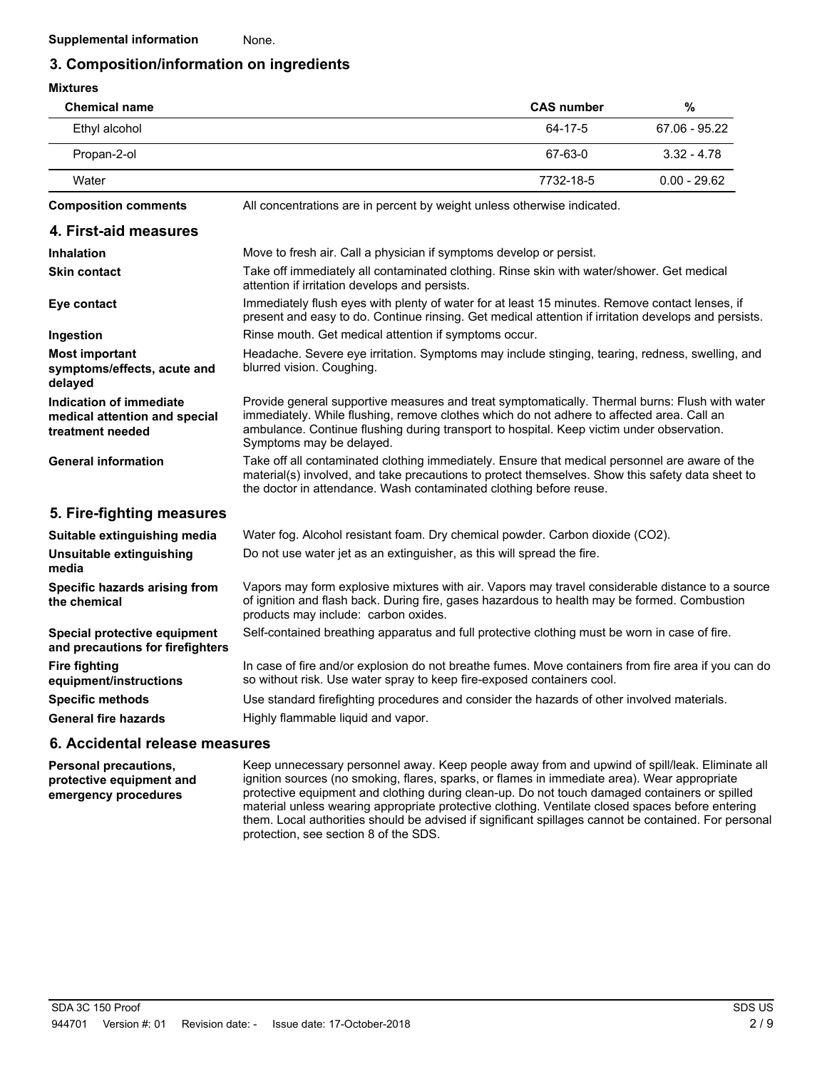### **3. Composition/information on ingredients**

| <b>Mixtures</b>                                                              |                                                                                                                                                                                                                                                                                                                      |                   |                 |
|------------------------------------------------------------------------------|----------------------------------------------------------------------------------------------------------------------------------------------------------------------------------------------------------------------------------------------------------------------------------------------------------------------|-------------------|-----------------|
| <b>Chemical name</b>                                                         |                                                                                                                                                                                                                                                                                                                      | <b>CAS number</b> | $\frac{0}{0}$   |
| Ethyl alcohol                                                                |                                                                                                                                                                                                                                                                                                                      | 64-17-5           | $67.06 - 95.22$ |
| Propan-2-ol                                                                  |                                                                                                                                                                                                                                                                                                                      | 67-63-0           | $3.32 - 4.78$   |
| Water                                                                        |                                                                                                                                                                                                                                                                                                                      | 7732-18-5         | $0.00 - 29.62$  |
| <b>Composition comments</b>                                                  | All concentrations are in percent by weight unless otherwise indicated.                                                                                                                                                                                                                                              |                   |                 |
| 4. First-aid measures                                                        |                                                                                                                                                                                                                                                                                                                      |                   |                 |
| <b>Inhalation</b>                                                            | Move to fresh air. Call a physician if symptoms develop or persist.                                                                                                                                                                                                                                                  |                   |                 |
| <b>Skin contact</b>                                                          | Take off immediately all contaminated clothing. Rinse skin with water/shower. Get medical<br>attention if irritation develops and persists.                                                                                                                                                                          |                   |                 |
| Eye contact                                                                  | Immediately flush eyes with plenty of water for at least 15 minutes. Remove contact lenses, if<br>present and easy to do. Continue rinsing. Get medical attention if irritation develops and persists.                                                                                                               |                   |                 |
| Ingestion                                                                    | Rinse mouth. Get medical attention if symptoms occur.                                                                                                                                                                                                                                                                |                   |                 |
| <b>Most important</b><br>symptoms/effects, acute and<br>delayed              | Headache. Severe eye irritation. Symptoms may include stinging, tearing, redness, swelling, and<br>blurred vision. Coughing.                                                                                                                                                                                         |                   |                 |
| Indication of immediate<br>medical attention and special<br>treatment needed | Provide general supportive measures and treat symptomatically. Thermal burns: Flush with water<br>immediately. While flushing, remove clothes which do not adhere to affected area. Call an<br>ambulance. Continue flushing during transport to hospital. Keep victim under observation.<br>Symptoms may be delayed. |                   |                 |
| <b>General information</b>                                                   | Take off all contaminated clothing immediately. Ensure that medical personnel are aware of the<br>material(s) involved, and take precautions to protect themselves. Show this safety data sheet to<br>the doctor in attendance. Wash contaminated clothing before reuse.                                             |                   |                 |
| 5. Fire-fighting measures                                                    |                                                                                                                                                                                                                                                                                                                      |                   |                 |
| Suitable extinguishing media                                                 | Water fog. Alcohol resistant foam. Dry chemical powder. Carbon dioxide (CO2).                                                                                                                                                                                                                                        |                   |                 |
| Unsuitable extinguishing<br>media                                            | Do not use water jet as an extinguisher, as this will spread the fire.                                                                                                                                                                                                                                               |                   |                 |
| Specific hazards arising from<br>the chemical                                | Vapors may form explosive mixtures with air. Vapors may travel considerable distance to a source<br>of ignition and flash back. During fire, gases hazardous to health may be formed. Combustion<br>products may include: carbon oxides.                                                                             |                   |                 |
| Special protective equipment<br>and precautions for firefighters             | Self-contained breathing apparatus and full protective clothing must be worn in case of fire.                                                                                                                                                                                                                        |                   |                 |
| <b>Fire fighting</b><br>equipment/instructions                               | In case of fire and/or explosion do not breathe fumes. Move containers from fire area if you can do<br>so without risk. Use water spray to keep fire-exposed containers cool.                                                                                                                                        |                   |                 |
| <b>Specific methods</b>                                                      | Use standard firefighting procedures and consider the hazards of other involved materials.                                                                                                                                                                                                                           |                   |                 |
| <b>General fire hazards</b>                                                  | Highly flammable liquid and vapor.                                                                                                                                                                                                                                                                                   |                   |                 |
|                                                                              |                                                                                                                                                                                                                                                                                                                      |                   |                 |

#### **6. Accidental release measures**

**Personal precautions, protective equipment and emergency procedures**

Keep unnecessary personnel away. Keep people away from and upwind of spill/leak. Eliminate all ignition sources (no smoking, flares, sparks, or flames in immediate area). Wear appropriate protective equipment and clothing during clean-up. Do not touch damaged containers or spilled material unless wearing appropriate protective clothing. Ventilate closed spaces before entering them. Local authorities should be advised if significant spillages cannot be contained. For personal protection, see section 8 of the SDS.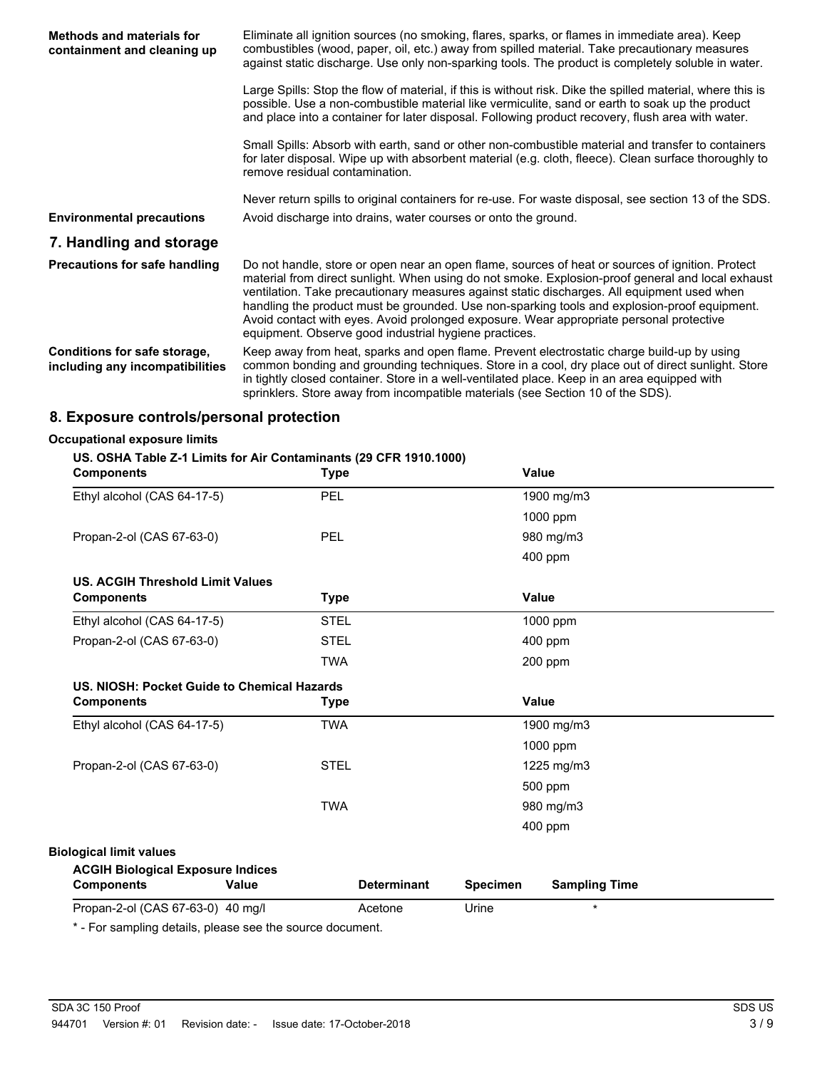| <b>Methods and materials for</b><br>containment and cleaning up | Eliminate all ignition sources (no smoking, flares, sparks, or flames in immediate area). Keep<br>combustibles (wood, paper, oil, etc.) away from spilled material. Take precautionary measures<br>against static discharge. Use only non-sparking tools. The product is completely soluble in water.                                                                                                                                                                                                                                                    |
|-----------------------------------------------------------------|----------------------------------------------------------------------------------------------------------------------------------------------------------------------------------------------------------------------------------------------------------------------------------------------------------------------------------------------------------------------------------------------------------------------------------------------------------------------------------------------------------------------------------------------------------|
|                                                                 | Large Spills: Stop the flow of material, if this is without risk. Dike the spilled material, where this is<br>possible. Use a non-combustible material like vermiculite, sand or earth to soak up the product<br>and place into a container for later disposal. Following product recovery, flush area with water.                                                                                                                                                                                                                                       |
|                                                                 | Small Spills: Absorb with earth, sand or other non-combustible material and transfer to containers<br>for later disposal. Wipe up with absorbent material (e.g. cloth, fleece). Clean surface thoroughly to<br>remove residual contamination.                                                                                                                                                                                                                                                                                                            |
|                                                                 | Never return spills to original containers for re-use. For waste disposal, see section 13 of the SDS.                                                                                                                                                                                                                                                                                                                                                                                                                                                    |
| <b>Environmental precautions</b>                                | Avoid discharge into drains, water courses or onto the ground.                                                                                                                                                                                                                                                                                                                                                                                                                                                                                           |
| 7. Handling and storage                                         |                                                                                                                                                                                                                                                                                                                                                                                                                                                                                                                                                          |
| <b>Precautions for safe handling</b>                            | Do not handle, store or open near an open flame, sources of heat or sources of ignition. Protect<br>material from direct sunlight. When using do not smoke. Explosion-proof general and local exhaust<br>ventilation. Take precautionary measures against static discharges. All equipment used when<br>handling the product must be grounded. Use non-sparking tools and explosion-proof equipment.<br>Avoid contact with eyes. Avoid prolonged exposure. Wear appropriate personal protective<br>equipment. Observe good industrial hygiene practices. |
| Conditions for safe storage,<br>including any incompatibilities | Keep away from heat, sparks and open flame. Prevent electrostatic charge build-up by using<br>common bonding and grounding techniques. Store in a cool, dry place out of direct sunlight. Store<br>in tightly closed container. Store in a well-ventilated place. Keep in an area equipped with<br>sprinklers. Store away from incompatible materials (see Section 10 of the SDS).                                                                                                                                                                       |

### **8. Exposure controls/personal protection**

#### **Occupational exposure limits**

#### **US. OSHA Table Z-1 Limits for Air Contaminants (29 CFR 1910.1000)**

| <b>Components</b>                                      |       | <b>Type</b> |                    |                 | <b>Value</b>         |
|--------------------------------------------------------|-------|-------------|--------------------|-----------------|----------------------|
| Ethyl alcohol (CAS 64-17-5)                            |       | PEL         |                    |                 | 1900 mg/m3           |
|                                                        |       |             |                    |                 | 1000 ppm             |
| Propan-2-ol (CAS 67-63-0)                              |       | PEL         |                    |                 | 980 mg/m3            |
|                                                        |       |             |                    |                 | 400 ppm              |
| <b>US. ACGIH Threshold Limit Values</b>                |       |             |                    |                 |                      |
| <b>Components</b>                                      |       | <b>Type</b> |                    |                 | <b>Value</b>         |
| Ethyl alcohol (CAS 64-17-5)                            |       | <b>STEL</b> |                    |                 | 1000 ppm             |
| Propan-2-ol (CAS 67-63-0)                              |       | <b>STEL</b> |                    |                 | $400$ ppm            |
|                                                        |       | <b>TWA</b>  |                    |                 | 200 ppm              |
| US. NIOSH: Pocket Guide to Chemical Hazards            |       |             |                    |                 |                      |
| <b>Components</b>                                      |       | <b>Type</b> |                    |                 | Value                |
| Ethyl alcohol (CAS 64-17-5)                            |       | <b>TWA</b>  |                    |                 | 1900 mg/m3           |
|                                                        |       |             |                    |                 | 1000 ppm             |
| Propan-2-ol (CAS 67-63-0)                              |       | <b>STEL</b> |                    |                 | 1225 mg/m3           |
|                                                        |       |             |                    |                 | 500 ppm              |
|                                                        |       | <b>TWA</b>  |                    |                 | 980 mg/m3            |
|                                                        |       |             |                    |                 | 400 ppm              |
| <b>Biological limit values</b>                         |       |             |                    |                 |                      |
| <b>ACGIH Biological Exposure Indices</b>               |       |             |                    |                 |                      |
| <b>Components</b>                                      | Value |             | <b>Determinant</b> | <b>Specimen</b> | <b>Sampling Time</b> |
| Propan-2-ol (CAS 67-63-0) 40 mg/l                      |       |             | Acetone            | Urine           | $\star$              |
| * Ear compling details, please ago the source decument |       |             |                    |                 |                      |

- For sampling details, please see the source document.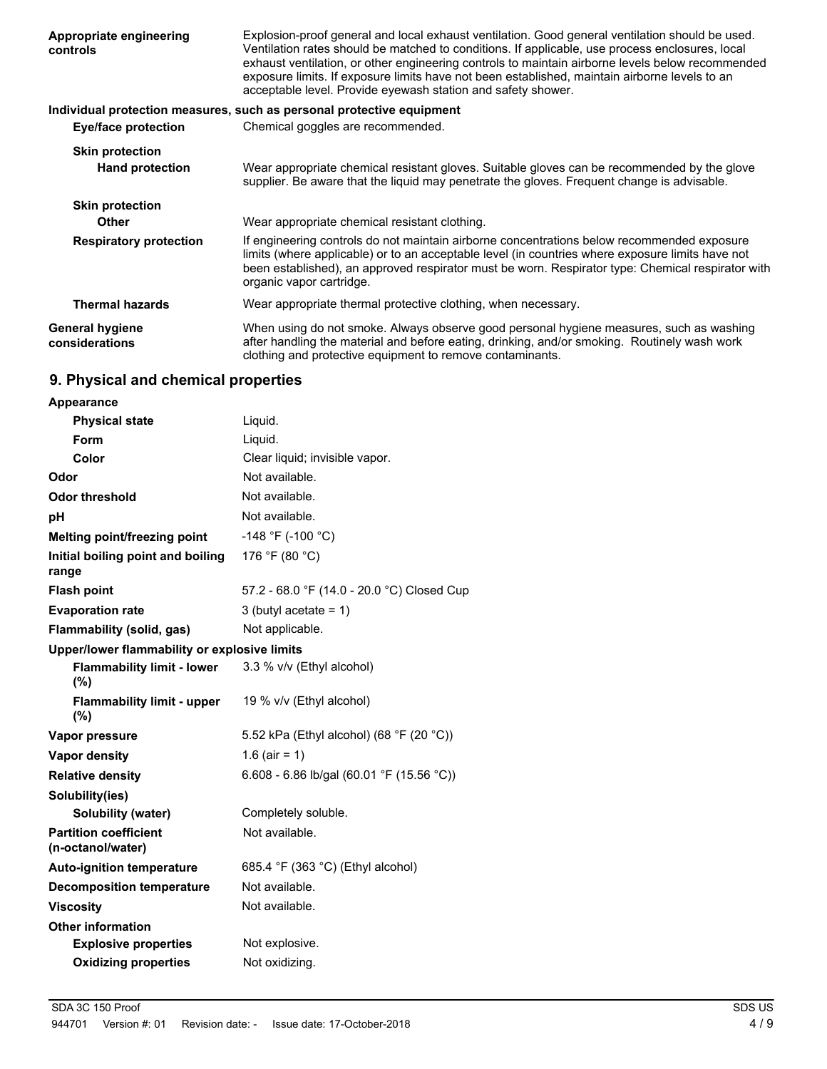| Appropriate engineering<br>controls              | Explosion-proof general and local exhaust ventilation. Good general ventilation should be used.<br>Ventilation rates should be matched to conditions. If applicable, use process enclosures, local<br>exhaust ventilation, or other engineering controls to maintain airborne levels below recommended<br>exposure limits. If exposure limits have not been established, maintain airborne levels to an<br>acceptable level. Provide eyewash station and safety shower. |
|--------------------------------------------------|-------------------------------------------------------------------------------------------------------------------------------------------------------------------------------------------------------------------------------------------------------------------------------------------------------------------------------------------------------------------------------------------------------------------------------------------------------------------------|
|                                                  | Individual protection measures, such as personal protective equipment                                                                                                                                                                                                                                                                                                                                                                                                   |
| <b>Eye/face protection</b>                       | Chemical goggles are recommended.                                                                                                                                                                                                                                                                                                                                                                                                                                       |
| <b>Skin protection</b><br><b>Hand protection</b> | Wear appropriate chemical resistant gloves. Suitable gloves can be recommended by the glove<br>supplier. Be aware that the liquid may penetrate the gloves. Frequent change is advisable.                                                                                                                                                                                                                                                                               |
| <b>Skin protection</b>                           |                                                                                                                                                                                                                                                                                                                                                                                                                                                                         |
| <b>Other</b>                                     | Wear appropriate chemical resistant clothing.                                                                                                                                                                                                                                                                                                                                                                                                                           |
| <b>Respiratory protection</b>                    | If engineering controls do not maintain airborne concentrations below recommended exposure<br>limits (where applicable) or to an acceptable level (in countries where exposure limits have not<br>been established), an approved respirator must be worn. Respirator type: Chemical respirator with<br>organic vapor cartridge.                                                                                                                                         |
| <b>Thermal hazards</b>                           | Wear appropriate thermal protective clothing, when necessary.                                                                                                                                                                                                                                                                                                                                                                                                           |
| <b>General hygiene</b><br>considerations         | When using do not smoke. Always observe good personal hygiene measures, such as washing<br>after handling the material and before eating, drinking, and/or smoking. Routinely wash work<br>clothing and protective equipment to remove contaminants.                                                                                                                                                                                                                    |

# **9. Physical and chemical properties**

| Appearance                                        |                                            |
|---------------------------------------------------|--------------------------------------------|
| <b>Physical state</b>                             | Liquid.                                    |
| Form                                              | Liquid.                                    |
| Color                                             | Clear liquid; invisible vapor.             |
| Odor                                              | Not available.                             |
| Odor threshold                                    | Not available.                             |
| рH                                                | Not available.                             |
| Melting point/freezing point                      | -148 °F (-100 °C)                          |
| Initial boiling point and boiling<br>range        | 176 °F (80 °C)                             |
| <b>Flash point</b>                                | 57.2 - 68.0 °F (14.0 - 20.0 °C) Closed Cup |
| <b>Evaporation rate</b>                           | 3 (butyl acetate = $1$ )                   |
| Flammability (solid, gas)                         | Not applicable.                            |
| Upper/lower flammability or explosive limits      |                                            |
| <b>Flammability limit - lower</b><br>(%)          | 3.3 % v/v (Ethyl alcohol)                  |
| <b>Flammability limit - upper</b><br>(%)          | 19 % v/v (Ethyl alcohol)                   |
| Vapor pressure                                    | 5.52 kPa (Ethyl alcohol) (68 °F (20 °C))   |
| <b>Vapor density</b>                              | 1.6 (air = 1)                              |
| <b>Relative density</b>                           | 6.608 - 6.86 lb/gal (60.01 °F (15.56 °C))  |
| Solubility(ies)                                   |                                            |
| Solubility (water)                                | Completely soluble.                        |
| <b>Partition coefficient</b><br>(n-octanol/water) | Not available.                             |
| <b>Auto-ignition temperature</b>                  | 685.4 °F (363 °C) (Ethyl alcohol)          |
| <b>Decomposition temperature</b>                  | Not available.                             |
| <b>Viscosity</b>                                  | Not available.                             |
| <b>Other information</b>                          |                                            |
| <b>Explosive properties</b>                       | Not explosive.                             |
| <b>Oxidizing properties</b>                       | Not oxidizing.                             |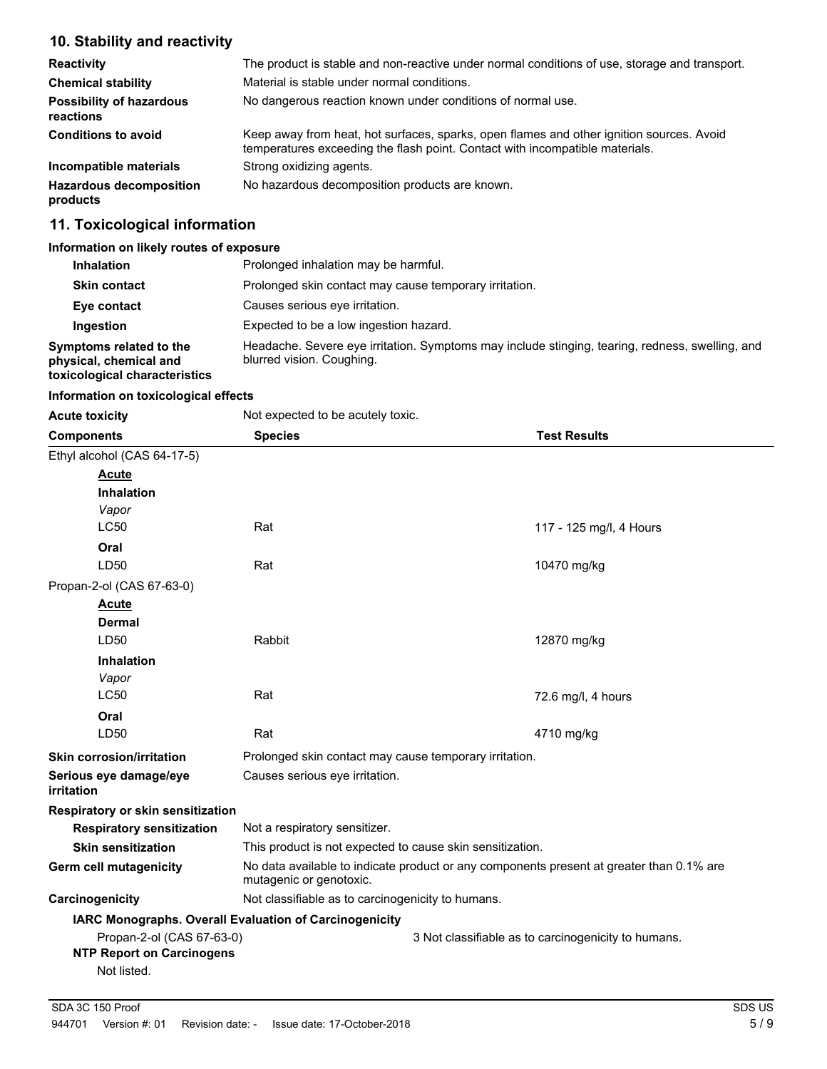# **10. Stability and reactivity**

| <b>Reactivity</b>                            | The product is stable and non-reactive under normal conditions of use, storage and transport.                                                                            |
|----------------------------------------------|--------------------------------------------------------------------------------------------------------------------------------------------------------------------------|
| <b>Chemical stability</b>                    | Material is stable under normal conditions.                                                                                                                              |
| <b>Possibility of hazardous</b><br>reactions | No dangerous reaction known under conditions of normal use.                                                                                                              |
| <b>Conditions to avoid</b>                   | Keep away from heat, hot surfaces, sparks, open flames and other ignition sources. Avoid<br>temperatures exceeding the flash point. Contact with incompatible materials. |
| Incompatible materials                       | Strong oxidizing agents.                                                                                                                                                 |
| <b>Hazardous decomposition</b><br>products   | No hazardous decomposition products are known.                                                                                                                           |

# **11. Toxicological information**

#### **Information on likely routes of exposure**

| <b>Inhalation</b>                                                                  | Prolonged inhalation may be harmful.                                                                                         |
|------------------------------------------------------------------------------------|------------------------------------------------------------------------------------------------------------------------------|
| <b>Skin contact</b>                                                                | Prolonged skin contact may cause temporary irritation.                                                                       |
| Eye contact                                                                        | Causes serious eve irritation.                                                                                               |
| <b>Ingestion</b>                                                                   | Expected to be a low ingestion hazard.                                                                                       |
| Symptoms related to the<br>physical, chemical and<br>toxicological characteristics | Headache. Severe eye irritation. Symptoms may include stinging, tearing, redness, swelling, and<br>blurred vision. Coughing. |

#### **Information on toxicological effects**

| <b>Acute toxicity</b>                | Not expected to be acutely toxic.                         |                                                                                          |
|--------------------------------------|-----------------------------------------------------------|------------------------------------------------------------------------------------------|
| <b>Components</b>                    | <b>Species</b>                                            | <b>Test Results</b>                                                                      |
| Ethyl alcohol (CAS 64-17-5)          |                                                           |                                                                                          |
| <b>Acute</b>                         |                                                           |                                                                                          |
| <b>Inhalation</b>                    |                                                           |                                                                                          |
| Vapor                                |                                                           |                                                                                          |
| <b>LC50</b>                          | Rat                                                       | 117 - 125 mg/l, 4 Hours                                                                  |
| Oral                                 |                                                           |                                                                                          |
| LD50                                 | Rat                                                       | 10470 mg/kg                                                                              |
| Propan-2-ol (CAS 67-63-0)            |                                                           |                                                                                          |
| <b>Acute</b>                         |                                                           |                                                                                          |
| <b>Dermal</b>                        |                                                           |                                                                                          |
| LD50                                 | Rabbit                                                    | 12870 mg/kg                                                                              |
| <b>Inhalation</b>                    |                                                           |                                                                                          |
| Vapor                                |                                                           |                                                                                          |
| <b>LC50</b>                          | Rat                                                       | 72.6 mg/l, 4 hours                                                                       |
| Oral                                 |                                                           |                                                                                          |
| LD50                                 | Rat                                                       | 4710 mg/kg                                                                               |
| <b>Skin corrosion/irritation</b>     | Prolonged skin contact may cause temporary irritation.    |                                                                                          |
| Serious eye damage/eye<br>irritation | Causes serious eye irritation.                            |                                                                                          |
| Respiratory or skin sensitization    |                                                           |                                                                                          |
| <b>Respiratory sensitization</b>     | Not a respiratory sensitizer.                             |                                                                                          |
| <b>Skin sensitization</b>            | This product is not expected to cause skin sensitization. |                                                                                          |
| Germ cell mutagenicity               | mutagenic or genotoxic.                                   | No data available to indicate product or any components present at greater than 0.1% are |
| Carcinogenicity                      | Not classifiable as to carcinogenicity to humans.         |                                                                                          |
|                                      | IARC Monographs. Overall Evaluation of Carcinogenicity    |                                                                                          |
| Propan-2-ol (CAS 67-63-0)            |                                                           | 3 Not classifiable as to carcinogenicity to humans.                                      |
| <b>NTP Report on Carcinogens</b>     |                                                           |                                                                                          |
| Not listed.                          |                                                           |                                                                                          |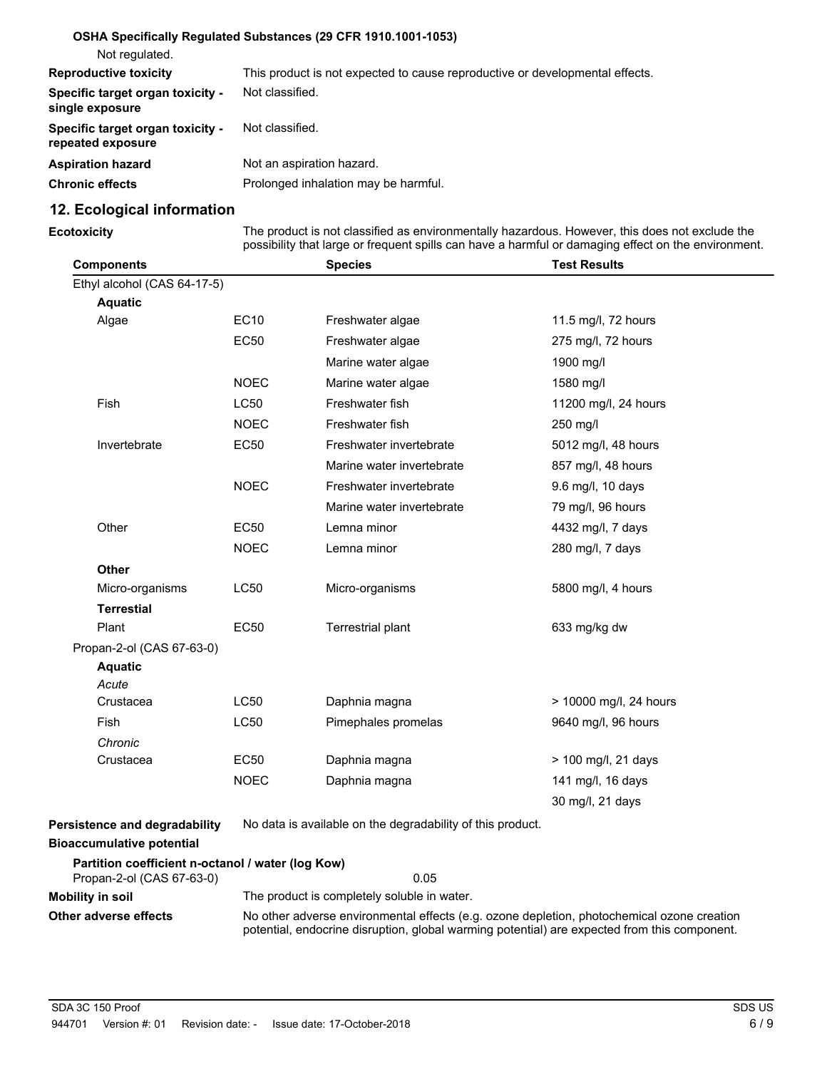| Not regulated.                                        | OSHA Specifically Regulated Substances (29 CFR 1910.1001-1053)               |
|-------------------------------------------------------|------------------------------------------------------------------------------|
| <b>Reproductive toxicity</b>                          | This product is not expected to cause reproductive or developmental effects. |
| Specific target organ toxicity -<br>single exposure   | Not classified.                                                              |
| Specific target organ toxicity -<br>repeated exposure | Not classified.                                                              |
| <b>Aspiration hazard</b>                              | Not an aspiration hazard.                                                    |
| <b>Chronic effects</b>                                | Prolonged inhalation may be harmful.                                         |

# **12. Ecological information**

**Ecotoxicity**

The product is not classified as environmentally hazardous. However, this does not exclude the possibility that large or frequent spills can have a harmful or damaging effect on the environment.

| <b>Components</b>                                 |             | <b>Species</b>                                             | <b>Test Results</b>    |
|---------------------------------------------------|-------------|------------------------------------------------------------|------------------------|
| Ethyl alcohol (CAS 64-17-5)                       |             |                                                            |                        |
| <b>Aquatic</b>                                    |             |                                                            |                        |
| Algae                                             | <b>EC10</b> | Freshwater algae                                           | 11.5 mg/l, 72 hours    |
|                                                   | <b>EC50</b> | Freshwater algae                                           | 275 mg/l, 72 hours     |
|                                                   |             | Marine water algae                                         | 1900 mg/l              |
|                                                   | <b>NOEC</b> | Marine water algae                                         | 1580 mg/l              |
| Fish                                              | <b>LC50</b> | Freshwater fish                                            | 11200 mg/l, 24 hours   |
|                                                   | <b>NOEC</b> | Freshwater fish                                            | 250 mg/l               |
| Invertebrate                                      | <b>EC50</b> | Freshwater invertebrate                                    | 5012 mg/l, 48 hours    |
|                                                   |             | Marine water invertebrate                                  | 857 mg/l, 48 hours     |
|                                                   | <b>NOEC</b> | Freshwater invertebrate                                    | 9.6 mg/l, 10 days      |
|                                                   |             | Marine water invertebrate                                  | 79 mg/l, 96 hours      |
| Other                                             | <b>EC50</b> | Lemna minor                                                | 4432 mg/l, 7 days      |
|                                                   | <b>NOEC</b> | Lemna minor                                                | 280 mg/l, 7 days       |
| <b>Other</b>                                      |             |                                                            |                        |
| Micro-organisms                                   | <b>LC50</b> | Micro-organisms                                            | 5800 mg/l, 4 hours     |
| <b>Terrestial</b>                                 |             |                                                            |                        |
| Plant                                             | <b>EC50</b> | Terrestrial plant                                          | 633 mg/kg dw           |
| Propan-2-ol (CAS 67-63-0)                         |             |                                                            |                        |
| <b>Aquatic</b>                                    |             |                                                            |                        |
| Acute                                             |             |                                                            |                        |
| Crustacea                                         | LC50        | Daphnia magna                                              | > 10000 mg/l, 24 hours |
| <b>Fish</b>                                       | <b>LC50</b> | Pimephales promelas                                        | 9640 mg/l, 96 hours    |
| Chronic                                           |             |                                                            |                        |
| Crustacea                                         | <b>EC50</b> | Daphnia magna                                              | > 100 mg/l, 21 days    |
|                                                   | <b>NOEC</b> | Daphnia magna                                              | 141 mg/l, 16 days      |
|                                                   |             |                                                            | 30 mg/l, 21 days       |
| Persistence and degradability                     |             | No data is available on the degradability of this product. |                        |
| <b>Bioaccumulative potential</b>                  |             |                                                            |                        |
| Partition coefficient n-octanol / water (log Kow) |             |                                                            |                        |
| Propan-2-ol (CAS 67-63-0)                         |             | 0.05                                                       |                        |

| <u>FIUDAIL-Z-UI (UAJ UZ-UJ-UJ</u> | u.uu                                                                                                                                                                                       |
|-----------------------------------|--------------------------------------------------------------------------------------------------------------------------------------------------------------------------------------------|
| Mobility in soil                  | The product is completely soluble in water.                                                                                                                                                |
| Other adverse effects             | No other adverse environmental effects (e.g. ozone depletion, photochemical ozone creation<br>potential, endocrine disruption, global warming potential) are expected from this component. |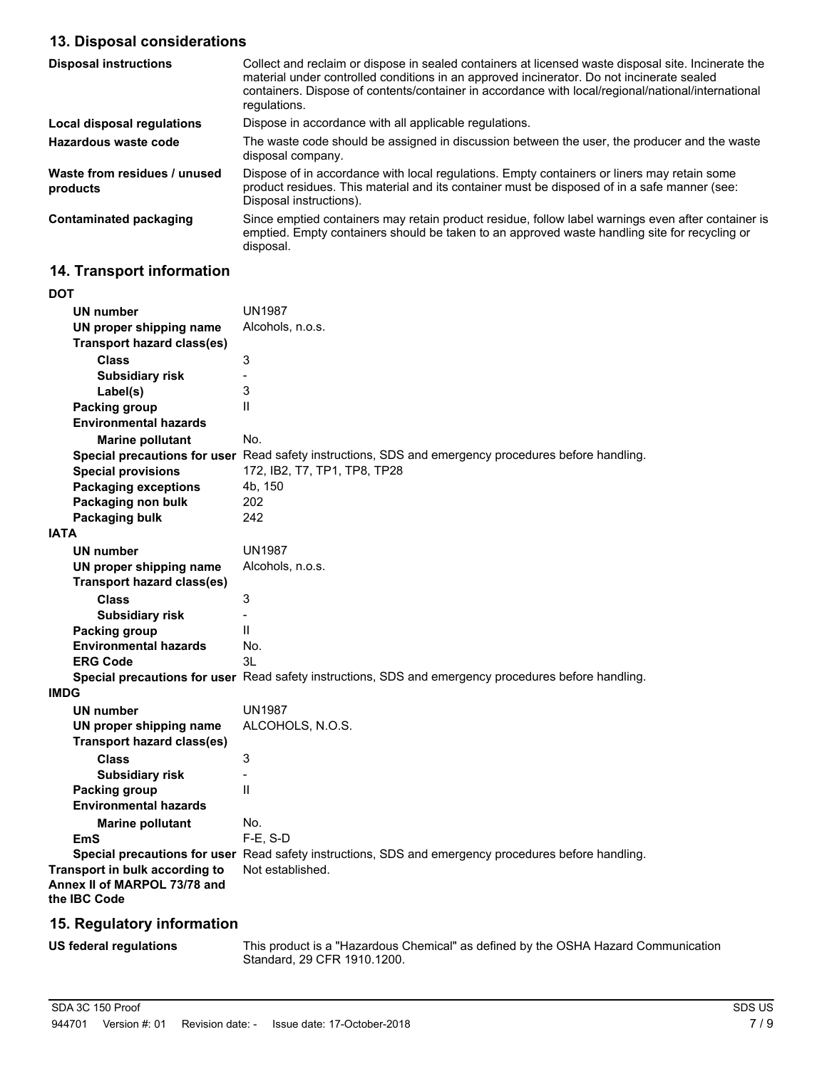# **13. Disposal considerations**

| <b>Disposal instructions</b>             | Collect and reclaim or dispose in sealed containers at licensed waste disposal site. Incinerate the<br>material under controlled conditions in an approved incinerator. Do not incinerate sealed<br>containers. Dispose of contents/container in accordance with local/regional/national/international<br>regulations. |
|------------------------------------------|------------------------------------------------------------------------------------------------------------------------------------------------------------------------------------------------------------------------------------------------------------------------------------------------------------------------|
| Local disposal regulations               | Dispose in accordance with all applicable regulations.                                                                                                                                                                                                                                                                 |
| Hazardous waste code                     | The waste code should be assigned in discussion between the user, the producer and the waste<br>disposal company.                                                                                                                                                                                                      |
| Waste from residues / unused<br>products | Dispose of in accordance with local regulations. Empty containers or liners may retain some<br>product residues. This material and its container must be disposed of in a safe manner (see:<br>Disposal instructions).                                                                                                 |
| Contaminated packaging                   | Since emptied containers may retain product residue, follow label warnings even after container is<br>emptied. Empty containers should be taken to an approved waste handling site for recycling or<br>disposal.                                                                                                       |

# **14. Transport information**

| DOT         |                                                                                |                                                                                                      |
|-------------|--------------------------------------------------------------------------------|------------------------------------------------------------------------------------------------------|
|             | UN number                                                                      | <b>UN1987</b>                                                                                        |
|             | UN proper shipping name                                                        | Alcohols, n.o.s.                                                                                     |
|             | <b>Transport hazard class(es)</b>                                              |                                                                                                      |
|             | <b>Class</b>                                                                   | 3                                                                                                    |
|             | <b>Subsidiary risk</b>                                                         |                                                                                                      |
|             | Label(s)                                                                       | 3                                                                                                    |
|             | <b>Packing group</b>                                                           | $\mathsf{I}$                                                                                         |
|             | <b>Environmental hazards</b>                                                   |                                                                                                      |
|             | <b>Marine pollutant</b>                                                        | No.                                                                                                  |
|             |                                                                                | Special precautions for user Read safety instructions, SDS and emergency procedures before handling. |
|             | <b>Special provisions</b>                                                      | 172, IB2, T7, TP1, TP8, TP28                                                                         |
|             | <b>Packaging exceptions</b>                                                    | 4b, 150                                                                                              |
|             | Packaging non bulk                                                             | 202                                                                                                  |
|             | Packaging bulk                                                                 | 242                                                                                                  |
| <b>IATA</b> |                                                                                |                                                                                                      |
|             | <b>UN number</b>                                                               | <b>UN1987</b>                                                                                        |
|             | UN proper shipping name                                                        | Alcohols, n.o.s.                                                                                     |
|             | <b>Transport hazard class(es)</b>                                              |                                                                                                      |
|             | <b>Class</b>                                                                   | 3                                                                                                    |
|             | <b>Subsidiary risk</b>                                                         | $\overline{a}$                                                                                       |
|             | <b>Packing group</b>                                                           | Ш                                                                                                    |
|             | <b>Environmental hazards</b>                                                   | No.                                                                                                  |
|             | <b>ERG Code</b>                                                                | 3L                                                                                                   |
|             |                                                                                | Special precautions for user Read safety instructions, SDS and emergency procedures before handling. |
| IMDG        |                                                                                |                                                                                                      |
|             | <b>UN number</b>                                                               | <b>UN1987</b>                                                                                        |
|             | UN proper shipping name                                                        | ALCOHOLS, N.O.S.                                                                                     |
|             | <b>Transport hazard class(es)</b>                                              |                                                                                                      |
|             | <b>Class</b>                                                                   | 3                                                                                                    |
|             | <b>Subsidiary risk</b>                                                         |                                                                                                      |
|             | Packing group                                                                  | $\mathbf{I}$                                                                                         |
|             | <b>Environmental hazards</b>                                                   |                                                                                                      |
|             | <b>Marine pollutant</b>                                                        | No.                                                                                                  |
|             | EmS                                                                            | $F-E$ , S-D                                                                                          |
|             |                                                                                | Special precautions for user Read safety instructions, SDS and emergency procedures before handling. |
|             | Transport in bulk according to<br>Annex II of MARPOL 73/78 and<br>the IBC Code | Not established.                                                                                     |
|             |                                                                                |                                                                                                      |

### **15. Regulatory information**

**US federal regulations**

This product is a "Hazardous Chemical" as defined by the OSHA Hazard Communication Standard, 29 CFR 1910.1200.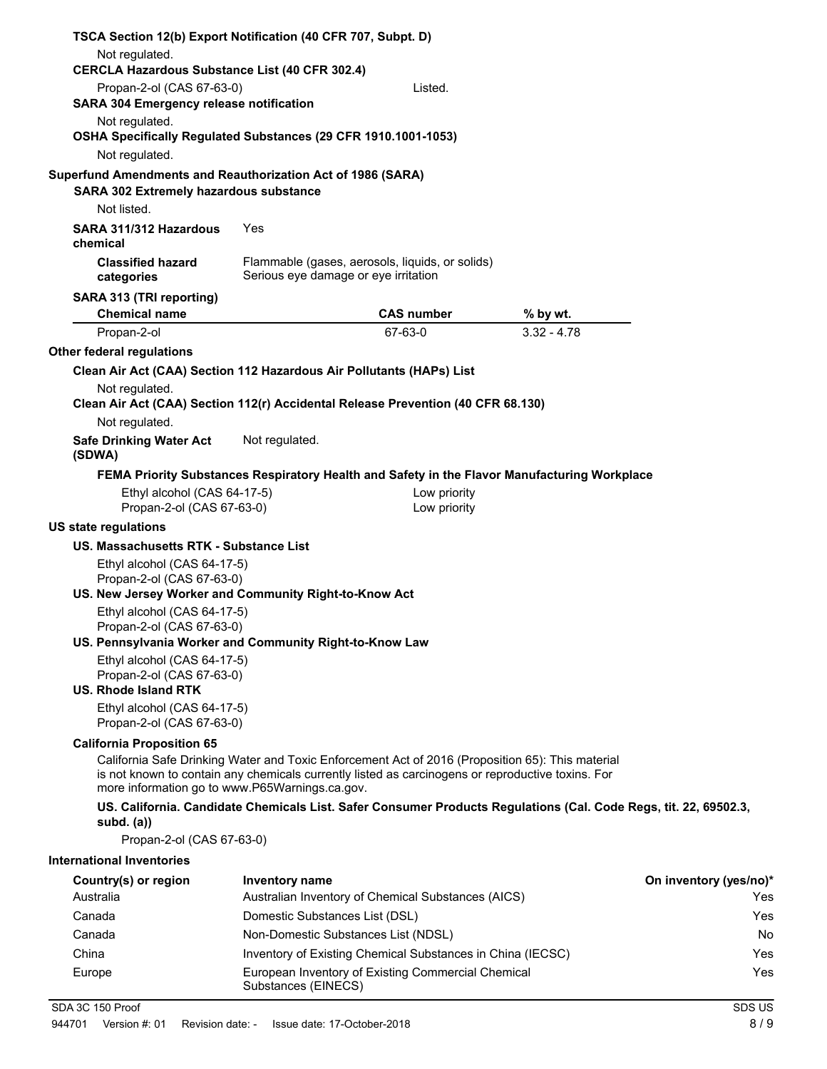| TSCA Section 12(b) Export Notification (40 CFR 707, Subpt. D)                    |                                      |                                                                                                                                                                                                       |                                                                                                                  |                        |
|----------------------------------------------------------------------------------|--------------------------------------|-------------------------------------------------------------------------------------------------------------------------------------------------------------------------------------------------------|------------------------------------------------------------------------------------------------------------------|------------------------|
| Not regulated.<br><b>CERCLA Hazardous Substance List (40 CFR 302.4)</b>          |                                      |                                                                                                                                                                                                       |                                                                                                                  |                        |
| Propan-2-ol (CAS 67-63-0)                                                        |                                      | Listed.                                                                                                                                                                                               |                                                                                                                  |                        |
| <b>SARA 304 Emergency release notification</b>                                   |                                      |                                                                                                                                                                                                       |                                                                                                                  |                        |
| Not regulated.<br>OSHA Specifically Regulated Substances (29 CFR 1910.1001-1053) |                                      |                                                                                                                                                                                                       |                                                                                                                  |                        |
| Not regulated.                                                                   |                                      |                                                                                                                                                                                                       |                                                                                                                  |                        |
| Superfund Amendments and Reauthorization Act of 1986 (SARA)                      |                                      |                                                                                                                                                                                                       |                                                                                                                  |                        |
| <b>SARA 302 Extremely hazardous substance</b>                                    |                                      |                                                                                                                                                                                                       |                                                                                                                  |                        |
| Not listed.                                                                      |                                      |                                                                                                                                                                                                       |                                                                                                                  |                        |
| SARA 311/312 Hazardous<br>chemical                                               | Yes                                  |                                                                                                                                                                                                       |                                                                                                                  |                        |
| <b>Classified hazard</b><br>categories                                           | Serious eye damage or eye irritation | Flammable (gases, aerosols, liquids, or solids)                                                                                                                                                       |                                                                                                                  |                        |
| SARA 313 (TRI reporting)                                                         |                                      |                                                                                                                                                                                                       |                                                                                                                  |                        |
| <b>Chemical name</b>                                                             |                                      | <b>CAS number</b>                                                                                                                                                                                     | % by wt.                                                                                                         |                        |
| Propan-2-ol<br>Other federal regulations                                         |                                      | 67-63-0                                                                                                                                                                                               | $3.32 - 4.78$                                                                                                    |                        |
| Clean Air Act (CAA) Section 112 Hazardous Air Pollutants (HAPs) List             |                                      |                                                                                                                                                                                                       |                                                                                                                  |                        |
| Not regulated.                                                                   |                                      |                                                                                                                                                                                                       |                                                                                                                  |                        |
| Clean Air Act (CAA) Section 112(r) Accidental Release Prevention (40 CFR 68.130) |                                      |                                                                                                                                                                                                       |                                                                                                                  |                        |
| Not regulated.                                                                   |                                      |                                                                                                                                                                                                       |                                                                                                                  |                        |
| <b>Safe Drinking Water Act</b><br>(SDWA)                                         | Not regulated.                       |                                                                                                                                                                                                       |                                                                                                                  |                        |
|                                                                                  |                                      |                                                                                                                                                                                                       | FEMA Priority Substances Respiratory Health and Safety in the Flavor Manufacturing Workplace                     |                        |
| Ethyl alcohol (CAS 64-17-5)                                                      |                                      | Low priority                                                                                                                                                                                          |                                                                                                                  |                        |
| Propan-2-ol (CAS 67-63-0)                                                        |                                      | Low priority                                                                                                                                                                                          |                                                                                                                  |                        |
| <b>US state regulations</b><br>US. Massachusetts RTK - Substance List            |                                      |                                                                                                                                                                                                       |                                                                                                                  |                        |
| Ethyl alcohol (CAS 64-17-5)                                                      |                                      |                                                                                                                                                                                                       |                                                                                                                  |                        |
| Propan-2-ol (CAS 67-63-0)                                                        |                                      |                                                                                                                                                                                                       |                                                                                                                  |                        |
| US. New Jersey Worker and Community Right-to-Know Act                            |                                      |                                                                                                                                                                                                       |                                                                                                                  |                        |
| Ethyl alcohol (CAS 64-17-5)<br>Propan-2-ol (CAS 67-63-0)                         |                                      |                                                                                                                                                                                                       |                                                                                                                  |                        |
| US. Pennsylvania Worker and Community Right-to-Know Law                          |                                      |                                                                                                                                                                                                       |                                                                                                                  |                        |
| Ethyl alcohol (CAS 64-17-5)<br>Propan-2-ol (CAS 67-63-0)                         |                                      |                                                                                                                                                                                                       |                                                                                                                  |                        |
| U.S. Rhode Island RTK                                                            |                                      |                                                                                                                                                                                                       |                                                                                                                  |                        |
| Ethyl alcohol (CAS 64-17-5)<br>Propan-2-ol (CAS 67-63-0)                         |                                      |                                                                                                                                                                                                       |                                                                                                                  |                        |
| <b>California Proposition 65</b>                                                 |                                      |                                                                                                                                                                                                       |                                                                                                                  |                        |
| more information go to www.P65Warnings.ca.gov.                                   |                                      | California Safe Drinking Water and Toxic Enforcement Act of 2016 (Proposition 65): This material<br>is not known to contain any chemicals currently listed as carcinogens or reproductive toxins. For |                                                                                                                  |                        |
| subd. $(a)$                                                                      |                                      |                                                                                                                                                                                                       | US. California. Candidate Chemicals List. Safer Consumer Products Regulations (Cal. Code Regs, tit. 22, 69502.3, |                        |
| Propan-2-ol (CAS 67-63-0)                                                        |                                      |                                                                                                                                                                                                       |                                                                                                                  |                        |
| <b>International Inventories</b>                                                 |                                      |                                                                                                                                                                                                       |                                                                                                                  |                        |
| Country(s) or region                                                             | Inventory name                       |                                                                                                                                                                                                       |                                                                                                                  | On inventory (yes/no)* |
| Australia                                                                        |                                      | Australian Inventory of Chemical Substances (AICS)                                                                                                                                                    |                                                                                                                  | Yes                    |
| Canada                                                                           | Domestic Substances List (DSL)       |                                                                                                                                                                                                       |                                                                                                                  | Yes                    |
| Canada                                                                           | Non-Domestic Substances List (NDSL)  |                                                                                                                                                                                                       |                                                                                                                  | No                     |
| China                                                                            |                                      | Inventory of Existing Chemical Substances in China (IECSC)                                                                                                                                            |                                                                                                                  | Yes                    |
| Europe                                                                           | Substances (EINECS)                  | European Inventory of Existing Commercial Chemical                                                                                                                                                    |                                                                                                                  | Yes                    |
| SDA 3C 150 Proof                                                                 |                                      |                                                                                                                                                                                                       |                                                                                                                  | SDS US                 |